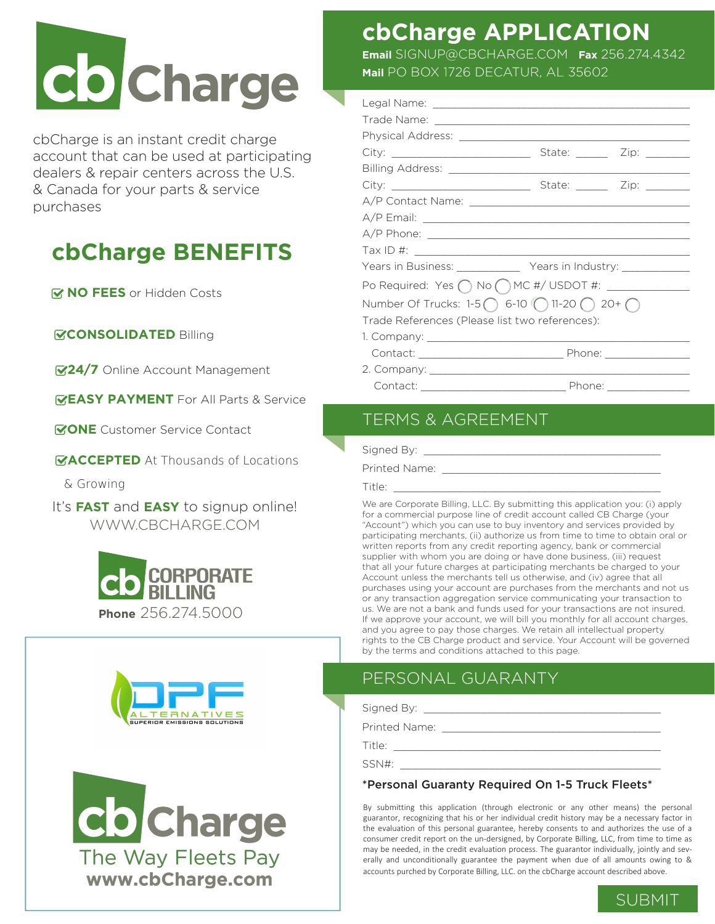

cbCharge is an instant credit charge account that can be used at participating dealers & repair centers across the U.S. & Canada for your parts & service purchases

## **cbCharge BENEFITS**

*MO FEES* or Hidden Costs

**CONSOLIDATED** Billing

**24/7** Online Account Management

**EASY PAYMENT** For All Parts & Service

**GONE** Customer Service Contact

**ACCEPTED** At Thousands of Locations

& Growing

It's **FAST** and **EASY** to signup online! WWW.CBCHARGE.COM







## **cbCharge APPLICATION**

**Email** SIGNUP@CBCHARGE.COM **Fax** 256.274.4342 **Mail** PO BOX 1726 DECATUR, AL 35602

| Years in Business: _______________ Years in Industry: _____________ |  |  |
|---------------------------------------------------------------------|--|--|
|                                                                     |  |  |
| Number Of Trucks: $1-5$ 6-10 (11-20 ) $20+$ (                       |  |  |
| Trade References (Please list two references):                      |  |  |
|                                                                     |  |  |
|                                                                     |  |  |
|                                                                     |  |  |
|                                                                     |  |  |

## TERMS & AGREEMENT

Signed By:

Printed Name: \_\_\_\_\_\_\_\_\_\_\_\_\_\_\_\_\_\_\_\_\_\_\_\_\_\_\_\_\_\_\_\_\_\_\_

Title: \_\_\_\_\_\_\_\_\_\_\_\_\_\_\_\_\_\_\_\_\_\_\_\_\_\_\_\_\_\_\_\_\_\_\_\_\_\_\_\_\_\_\_

We are Corporate Billing, LLC. By submitting this application you: (i) apply for a commercial purpose line of credit account called CB Charge (your "Account") which you can use to buy inventory and services provided by participating merchants, (ii) authorize us from time to time to obtain oral or written reports from any credit reporting agency, bank or commercial supplier with whom you are doing or have done business, (iii) request that all your future charges at participating merchants be charged to your Account unless the merchants tell us otherwise, and (iv) agree that all purchases using your account are purchases from the merchants and not us or any transaction aggregation service communicating your transaction to us. We are not a bank and funds used for your transactions are not insured. If we approve your account, we will bill you monthly for all account charges, and you agree to pay those charges. We retain all intellectual property rights to the CB Charge product and service. Your Account will be governed by the terms and conditions attached to this page.

## PERSONAL GUARANTY

Signed By: \_\_\_\_\_\_\_\_\_\_\_\_\_\_\_\_\_\_\_\_\_\_\_\_\_\_\_\_\_\_\_\_\_\_\_\_\_\_

Printed Name:

Title: \_\_\_\_\_\_\_\_\_\_\_\_\_\_\_\_\_\_\_\_\_\_\_\_\_\_\_\_\_\_\_\_\_\_\_\_\_\_\_\_\_\_\_  $SSN#:$ 

\*Personal Guaranty Required On 1-5 Truck Fleets\*

By submitting this application (through electronic or any other means) the personal guarantor, recognizing that his or her individual credit history may be a necessary factor in the evaluation of this personal guarantee, hereby consents to and authorizes the use of a consumer credit report on the un-dersigned, by Corporate Billing, LLC, from time to time as may be needed, in the credit evaluation process. The guarantor individually, jointly and severally and unconditionally guarantee the payment when due of all amounts owing to & accounts purched by Corporate Billing, LLC. on the cbCharge account described above.